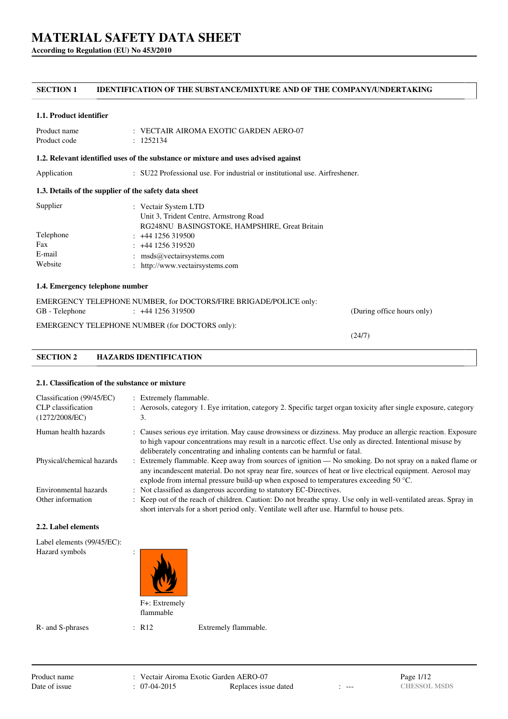**According to Regulation (EU) No 453/2010**

### **SECTION 1 IDENTIFICATION OF THE SUBSTANCE/MIXTURE AND OF THE COMPANY/UNDERTAKING**

#### **1.1. Product identifier**

| Product name | $\pm$ VECTAIR AIROMA EXOTIC GARDEN AERO-07 |
|--------------|--------------------------------------------|
| Product code | : 1252134                                  |

#### **1.2. Relevant identified uses of the substance or mixture and uses advised against**

Application : SU22 Professional use. For industrial or institutional use. Airfreshener.

#### **1.3. Details of the supplier of the safety data sheet**

| Supplier  | : Vectair System LTD<br>Unit 3, Trident Centre, Armstrong Road |
|-----------|----------------------------------------------------------------|
|           | RG248NU BASINGSTOKE, HAMPSHIRE, Great Britain                  |
| Telephone | $: +441256319500$                                              |
| Fax       | $: +441256319520$                                              |
| E-mail    | : $msds@vectair systems.com$                                   |
| Website   | : http://www.vectairsystems.com                                |

#### **1.4. Emergency telephone number**

EMERGENCY TELEPHONE NUMBER, for DOCTORS/FIRE BRIGADE/POLICE only: GB - Telephone : +44 1256 319500 (During office hours only) EMERGENCY TELEPHONE NUMBER (for DOCTORS only):

(24/7)

## **SECTION 2 HAZARDS IDENTIFICATION**

#### **2.1. Classification of the substance or mixture**

| Classification (99/45/EC)<br>CLP classification<br>(1272/2008/EC) | : Extremely flammable.<br>: Aerosols, category 1. Eye irritation, category 2. Specific target organ toxicity after single exposure, category<br>3.                                                                                                                                                                          |
|-------------------------------------------------------------------|-----------------------------------------------------------------------------------------------------------------------------------------------------------------------------------------------------------------------------------------------------------------------------------------------------------------------------|
| Human health hazards                                              | : Causes serious eye irritation. May cause drowsiness or dizziness. May produce an allergic reaction. Exposure<br>to high vapour concentrations may result in a narcotic effect. Use only as directed. Intentional misuse by                                                                                                |
|                                                                   | deliberately concentrating and inhaling contents can be harmful or fatal.                                                                                                                                                                                                                                                   |
| Physical/chemical hazards                                         | : Extremely flammable. Keep away from sources of ignition — No smoking. Do not spray on a naked flame or<br>any incandescent material. Do not spray near fire, sources of heat or live electrical equipment. Aerosol may<br>explode from internal pressure build-up when exposed to temperatures exceeding 50 $^{\circ}$ C. |
| Environmental hazards                                             | : Not classified as dangerous according to statutory EC-Directives.                                                                                                                                                                                                                                                         |
| Other information                                                 | : Keep out of the reach of children. Caution: Do not breathe spray. Use only in well-ventilated areas. Spray in<br>short intervals for a short period only. Ventilate well after use. Harmful to house pets.                                                                                                                |

#### **2.2. Label elements**

| Label elements (99/45/EC): |                            |  |
|----------------------------|----------------------------|--|
| Hazard symbols             | ٠<br>$\bullet$             |  |
|                            | F+: Extremely<br>flammable |  |

R- and S-phrases : R12 Extremely flammable.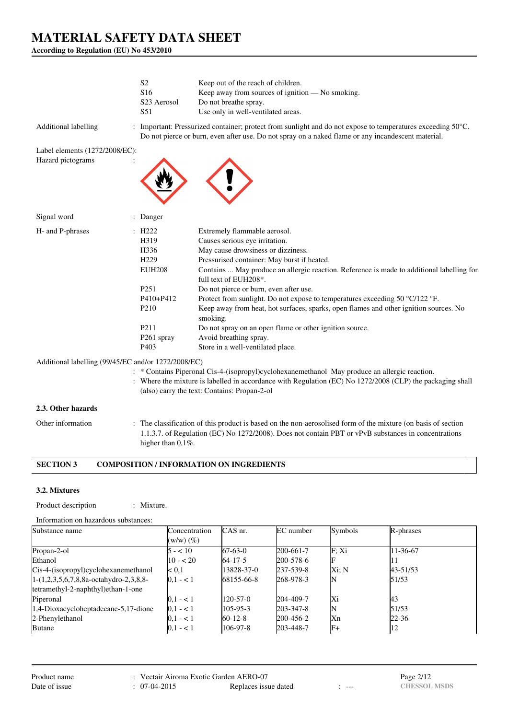**According to Regulation (EU) No 453/2010**

|                                | S <sub>2</sub><br>S <sub>16</sub><br>S <sub>23</sub> Aerosol<br>S51                                                                                                                               | Keep out of the reach of children.<br>Keep away from sources of ignition — No smoking.<br>Do not breathe spray.<br>Use only in well-ventilated areas.                                                                                                                                                                                                                                                                                                                                                                                                                                                                                                |
|--------------------------------|---------------------------------------------------------------------------------------------------------------------------------------------------------------------------------------------------|------------------------------------------------------------------------------------------------------------------------------------------------------------------------------------------------------------------------------------------------------------------------------------------------------------------------------------------------------------------------------------------------------------------------------------------------------------------------------------------------------------------------------------------------------------------------------------------------------------------------------------------------------|
| <b>Additional labelling</b>    |                                                                                                                                                                                                   | : Important: Pressurized container; protect from sunlight and do not expose to temperatures exceeding $50^{\circ}$ C.<br>Do not pierce or burn, even after use. Do not spray on a naked flame or any incandescent material.                                                                                                                                                                                                                                                                                                                                                                                                                          |
| Label elements (1272/2008/EC): |                                                                                                                                                                                                   |                                                                                                                                                                                                                                                                                                                                                                                                                                                                                                                                                                                                                                                      |
| Hazard pictograms              |                                                                                                                                                                                                   |                                                                                                                                                                                                                                                                                                                                                                                                                                                                                                                                                                                                                                                      |
| Signal word                    | : Danger                                                                                                                                                                                          |                                                                                                                                                                                                                                                                                                                                                                                                                                                                                                                                                                                                                                                      |
| H- and P-phrases               | $\therefore$ H222<br>H319<br>H <sub>336</sub><br>H <sub>229</sub><br><b>EUH208</b><br>P <sub>251</sub><br>$P410 + P412$<br>P <sub>210</sub><br>P <sub>211</sub><br>P261 spray<br>P <sub>403</sub> | Extremely flammable aerosol.<br>Causes serious eye irritation.<br>May cause drowsiness or dizziness.<br>Pressurised container: May burst if heated.<br>Contains  May produce an allergic reaction. Reference is made to additional labelling for<br>full text of EUH208*.<br>Do not pierce or burn, even after use.<br>Protect from sunlight. Do not expose to temperatures exceeding 50 $\degree$ C/122 $\degree$ F.<br>Keep away from heat, hot surfaces, sparks, open flames and other ignition sources. No<br>smoking.<br>Do not spray on an open flame or other ignition source.<br>Avoid breathing spray.<br>Store in a well-ventilated place. |

#### Additional labelling (99/45/EC and/or 1272/2008/EC)

- : \* Contains Piperonal Cis-4-(isopropyl)cyclohexanemethanol May produce an allergic reaction.
- : Where the mixture is labelled in accordance with Regulation (EC) No 1272/2008 (CLP) the packaging shall (also) carry the text: Contains: Propan-2-ol

#### **2.3. Other hazards**

Other information : The classification of this product is based on the non-aerosolised form of the mixture (on basis of section 1.1.3.7. of Regulation (EC) No 1272/2008). Does not contain PBT or vPvB substances in concentrations higher than  $0,1\%$ .

## **SECTION 3 COMPOSITION / INFORMATION ON INGREDIENTS**

#### **3.2. Mixtures**

Product description : Mixture.

| Substance name                           | Concentration  | CAS nr.        | EC number       | Symbols | R-phrases |  |
|------------------------------------------|----------------|----------------|-----------------|---------|-----------|--|
|                                          | $(w/w)$ $(\%)$ |                |                 |         |           |  |
| Propan-2-ol                              | $5 - 10$       | $67-63-0$      | 200-661-7       | F: Xi   | 11-36-67  |  |
| Ethanol                                  | $10 - 20$      | $64 - 17 - 5$  | 200-578-6       | F       | 11        |  |
| Cis-4-(isopropyl)cyclohexanemethanol     | $\leq 0.1$     | 13828-37-0     | $237 - 539 - 8$ | Xi: N   | 43-51/53  |  |
| $1-(1,2,3,5,6,7,8,8a-octahydro-2,3,8,8-$ | $0,1 - 1$      | 68155-66-8     | 268-978-3       |         | 51/53     |  |
| tetramethyl-2-naphthyl) ethan-1-one      |                |                |                 |         |           |  |
| Piperonal                                | $ 0,1 - 1 $    | $120 - 57 - 0$ | 204-409-7       | Xi      | 43        |  |
| $1,4$ -Dioxacycloheptadecane-5,17-dione  | $0.1 - 1$      | $105 - 95 - 3$ | $203 - 347 - 8$ | N       | 51/53     |  |
| 2-Phenylethanol                          | $ 0,1 - 1 $    | $60 - 12 - 8$  | 200-456-2       | Xn      | $22 - 36$ |  |
| <b>Butane</b>                            | $ 0,1 - 1 $    | $106-97-8$     | 203-448-7       | $F+$    | 12        |  |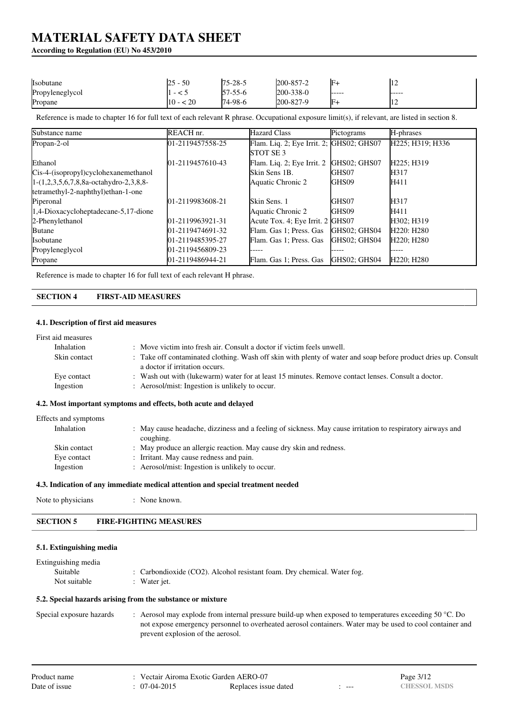#### **According to Regulation (EU) No 453/2010**

| Isobutane       | 50<br>$\overline{\phantom{0}}$ | $75 - 28 - 5$  | 200-857-2       | IF+            | .              |
|-----------------|--------------------------------|----------------|-----------------|----------------|----------------|
| Propyleneglycol |                                | $157 - 55 - 6$ | $200 - 338 - 0$ | ------         | ------         |
| Propane         | - 20                           | $74-98-6$      | 200-827-9       | $\mathbb{F}^+$ | $\overline{1}$ |

Reference is made to chapter 16 for full text of each relevant R phrase. Occupational exposure limit(s), if relevant, are listed in section 8.

| Substance name                            | REACH nr.            | <b>Hazard Class</b>                      | Pictograms   | H-phrases                           |
|-------------------------------------------|----------------------|------------------------------------------|--------------|-------------------------------------|
| Propan-2-ol                               | 01-2119457558-25     | Flam. Liq. 2; Eye Irrit. 2; GHS02; GHS07 |              | H225; H319; H336                    |
|                                           |                      | <b>ISTOT SE 3</b>                        |              |                                     |
| Ethanol                                   | 01-2119457610-43     | Flam. Liq. 2; Eye Irrit. 2               | GHS02; GHS07 | H225; H319                          |
| Cis-4-(isopropyl)cyclohexanemethanol      |                      | <b>Skin Sens 1B.</b>                     | GHS07        | H317                                |
| $[1-(1,2,3,5,6,7,8,8a-octahydro-2,3,8,8-$ |                      | Aquatic Chronic 2                        | GHS09        | H411                                |
| tetramethyl-2-naphthyl)ethan-1-one        |                      |                                          |              |                                     |
| Piperonal                                 | 01-2119983608-21     | <b>Skin Sens. 1</b>                      | GHS07        | H317                                |
| 1,4-Dioxacycloheptadecane-5,17-dione      |                      | Aquatic Chronic 2                        | GHS09        | H411                                |
| 2-Phenylethanol                           | $[01-2119963921-31]$ | Acute Tox. 4; Eye Irrit. 2 GHS07         |              | H302: H319                          |
| <b>Butane</b>                             | $[01-2119474691-32]$ | Flam. Gas 1; Press. Gas                  | GHS02: GHS04 | H <sub>220</sub> : H <sub>280</sub> |
| <b>Isobutane</b>                          | 01-2119485395-27     | Flam. Gas 1; Press. Gas                  | GHS02: GHS04 | H <sub>220</sub> : H <sub>280</sub> |
| Propyleneglycol                           | 01-2119456809-23     | -----                                    |              | .                                   |
| Propane                                   | 01-2119486944-21     | Flam. Gas 1; Press. Gas                  | GHS02: GHS04 | H <sub>220</sub> ; H <sub>280</sub> |

Reference is made to chapter 16 for full text of each relevant H phrase.

#### **SECTION 4 FIRST-AID MEASURES**

#### **4.1. Description of first aid measures**

| First aid measures       |                                                                                                                                                       |
|--------------------------|-------------------------------------------------------------------------------------------------------------------------------------------------------|
| Inhalation               | : Move victim into fresh air. Consult a doctor if victim feels unwell.                                                                                |
| Skin contact             | : Take off contaminated clothing. Wash off skin with plenty of water and soap before product dries up. Consult<br>a doctor if irritation occurs.      |
| Eye contact<br>Ingestion | : Wash out with (lukewarm) water for at least 15 minutes. Remove contact lenses. Consult a doctor.<br>: Aerosol/mist: Ingestion is unlikely to occur. |
|                          |                                                                                                                                                       |

#### **4.2. Most important symptoms and effects, both acute and delayed**

| Effects and symptoms |                                                                                                                         |
|----------------------|-------------------------------------------------------------------------------------------------------------------------|
| Inhalation           | : May cause headache, dizziness and a feeling of sickness. May cause irritation to respiratory airways and<br>coughing. |
| Skin contact         | : May produce an allergic reaction. May cause dry skin and redness.                                                     |
| Eye contact          | : Irritant. May cause redness and pain.                                                                                 |
| Ingestion            | : Aerosol/mist: Ingestion is unlikely to occur.                                                                         |

#### **4.3. Indication of any immediate medical attention and special treatment needed**

| Note to physicians | : None known. |
|--------------------|---------------|
|--------------------|---------------|

| <b>FIRE-FIGHTING MEASURES</b><br><b>SECTION 5</b> |
|---------------------------------------------------|
|---------------------------------------------------|

#### **5.1. Extinguishing media**

| Extinguishing media |                                                                            |
|---------------------|----------------------------------------------------------------------------|
| <b>Suitable</b>     | : Carbondioxide $(CO2)$ . Alcohol resistant foam. Dry chemical. Water fog. |
| Not suitable        | : Water jet.                                                               |
|                     |                                                                            |

#### **5.2. Special hazards arising from the substance or mixture**

Special exposure hazards : Aerosol may explode from internal pressure build-up when exposed to temperatures exceeding 50 °C. Do not expose emergency personnel to overheated aerosol containers. Water may be used to cool container and prevent explosion of the aerosol.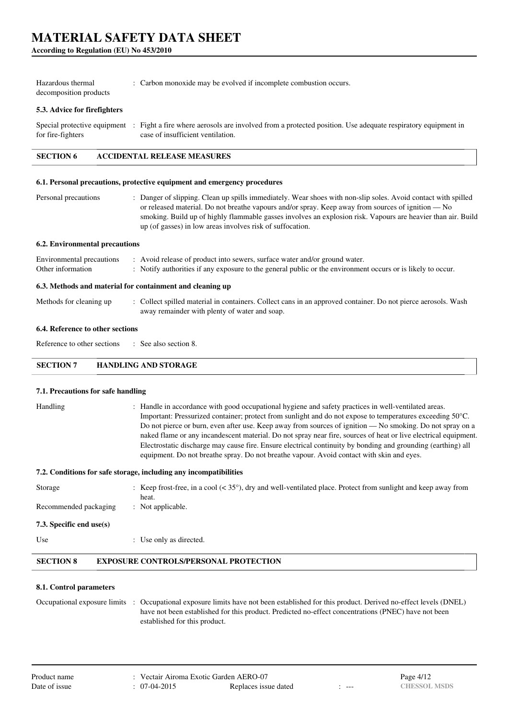**According to Regulation (EU) No 453/2010**

| Hazardous thermal      | : Carbon monoxide may be evolved if incomplete combustion occurs. |
|------------------------|-------------------------------------------------------------------|
| decomposition products |                                                                   |

#### **5.3. Advice for firefighters**

Special protective equipment : Fight a fire where aerosols are involved from a protected position. Use adequate respiratory equipment in for fire-fighters case of insufficient ventilation.

### **SECTION 6 ACCIDENTAL RELEASE MEASURES**

#### **6.1. Personal precautions, protective equipment and emergency procedures**

| Personal precautions | : Danger of slipping. Clean up spills immediately. Wear shoes with non-slip soles. Avoid contact with spilled |
|----------------------|---------------------------------------------------------------------------------------------------------------|
|                      | or released material. Do not breathe vapours and/or spray. Keep away from sources of ignition — No            |
|                      | smoking. Build up of highly flammable gasses involves an explosion risk. Vapours are heavier than air. Build  |
|                      | up (of gasses) in low areas involves risk of suffocation.                                                     |

#### **6.2. Environmental precautions**

| 6.3. Methods and material for containment and cleaning up |                                                                                                             |  |  |  |  |  |  |
|-----------------------------------------------------------|-------------------------------------------------------------------------------------------------------------|--|--|--|--|--|--|
| Other information                                         | : Notify authorities if any exposure to the general public or the environment occurs or is likely to occur. |  |  |  |  |  |  |
| Environmental precautions                                 | : Avoid release of product into sewers, surface water and/or ground water.                                  |  |  |  |  |  |  |

Methods for cleaning up : Collect spilled material in containers. Collect cans in an approved container. Do not pierce aerosols. Wash away remainder with plenty of water and soap.

#### **6.4. Reference to other sections**

Reference to other sections  $\cdot$  See also section 8.

**SECTION 7 HANDLING AND STORAGE**

#### **7.1. Precautions for safe handling**

: Handle in accordance with good occupational hygiene and safety practices in well-ventilated areas. Important: Pressurized container; protect from sunlight and do not expose to temperatures exceeding 50°C. Do not pierce or burn, even after use. Keep away from sources of ignition — No smoking. Do not spray on a naked flame or any incandescent material. Do not spray near fire, sources of heat or live electrical equipment. Electrostatic discharge may cause fire. Ensure electrical continuity by bonding and grounding (earthing) all equipment. Do not breathe spray. Do not breathe vapour. Avoid contact with skin and eyes.

#### **7.2. Conditions for safe storage, including any incompatibilities**

| Recommended packaging<br>7.3. Specific end use(s) | $:$ Not applicable.                                                                                                            |
|---------------------------------------------------|--------------------------------------------------------------------------------------------------------------------------------|
| Storage                                           | : Keep frost-free, in a cool $(35^{\circ})$ , dry and well-ventilated place. Protect from sunlight and keep away from<br>heat. |

Use : Use only as directed.

#### **SECTION 8 EXPOSURE CONTROLS/PERSONAL PROTECTION**

#### **8.1. Control parameters**

Occupational exposure limits : Occupational exposure limits have not been established for this product. Derived no-effect levels (DNEL) have not been established for this product. Predicted no-effect concentrations (PNEC) have not been established for this product.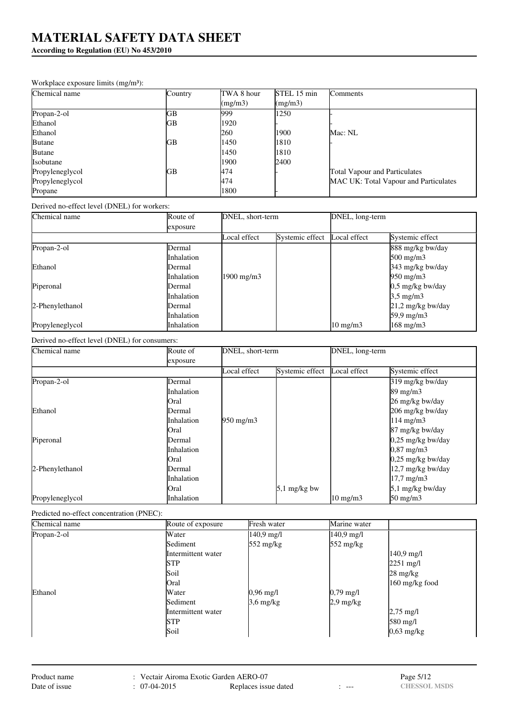**According to Regulation (EU) No 453/2010**

#### Workplace exposure limits (mg/m<sup>3</sup>):

| Chemical name   | Country | TWA 8 hour | STEL 15 min | Comments                              |
|-----------------|---------|------------|-------------|---------------------------------------|
|                 |         | (mg/m3)    | (mg/m3)     |                                       |
| Propan-2-ol     | GВ      | 999        | 1250        |                                       |
| Ethanol         | GB      | 1920       |             |                                       |
| Ethanol         |         | 260        | 1900        | Mac: NL                               |
| <b>Butane</b>   | GB      | 1450       | 1810        |                                       |
| <b>Butane</b>   |         | 1450       | 1810        |                                       |
| Isobutane       |         | 1900       | 2400        |                                       |
| Propyleneglycol | GВ      | 474        |             | <b>Total Vapour and Particulates</b>  |
| Propyleneglycol |         | 474        |             | MAC UK: Total Vapour and Particulates |
| Propane         |         | 1800       |             |                                       |

Derived no-effect level (DNEL) for workers:

| Chemical name   | Route of          | DNEL, short-term |                 | DNEL, long-term   |                     |
|-----------------|-------------------|------------------|-----------------|-------------------|---------------------|
|                 | exposure          |                  |                 |                   |                     |
|                 |                   | Local effect     | Systemic effect | Local effect      | Systemic effect     |
| Propan-2-ol     | Dermal            |                  |                 |                   | 888 mg/kg bw/day    |
|                 | <i>Inhalation</i> |                  |                 |                   | $500 \text{ mg/m}$  |
| Ethanol         | <b>IDermal</b>    |                  |                 |                   | 343 mg/kg bw/day    |
|                 | <i>Inhalation</i> | 1900 mg/m3       |                 |                   | $950 \text{ mg/m}$  |
| Piperonal       | <b>IDermal</b>    |                  |                 |                   | 0,5 mg/kg bw/day    |
|                 | <i>Inhalation</i> |                  |                 |                   | $3.5 \text{ mg/m}$  |
| 2-Phenylethanol | <b>Dermal</b>     |                  |                 |                   | $21,2$ mg/kg bw/day |
|                 | <i>Inhalation</i> |                  |                 |                   | 59,9 mg/m3          |
| Propyleneglycol | <i>Inhalation</i> |                  |                 | $10 \text{ mg/m}$ | $168$ mg/m $3$      |

Derived no-effect level (DNEL) for consumers:

| Chemical name   | Route of          | DNEL, short-term   |                 | DNEL, long-term   |                       |
|-----------------|-------------------|--------------------|-----------------|-------------------|-----------------------|
|                 | exposure          |                    |                 |                   |                       |
|                 |                   | Local effect       | Systemic effect | Local effect      | Systemic effect       |
| Propan-2-ol     | Dermal            |                    |                 |                   | 319 mg/kg bw/day      |
|                 | <i>Inhalation</i> |                    |                 |                   | $89 \text{ mg/m}$     |
|                 | Oral              |                    |                 |                   | 26 mg/kg bw/day       |
| Ethanol         | Dermal            |                    |                 |                   | 206 mg/kg bw/day      |
|                 | <i>Inhalation</i> | $950 \text{ mg/m}$ |                 |                   | $114$ mg/m3           |
|                 | <b>Oral</b>       |                    |                 |                   | 87 mg/kg bw/day       |
| Piperonal       | Dermal            |                    |                 |                   | $0.25$ mg/kg bw/day   |
|                 | <i>Inhalation</i> |                    |                 |                   | $0,87 \text{ mg/m}$ 3 |
|                 | <b>Oral</b>       |                    |                 |                   | 0,25 mg/kg bw/day     |
| 2-Phenylethanol | Dermal            |                    |                 |                   | 12,7 mg/kg bw/day     |
|                 | <i>Inhalation</i> |                    |                 |                   | 17,7 mg/m3            |
|                 | <b>Oral</b>       |                    | $5,1$ mg/kg bw  |                   | 5,1 mg/kg bw/day      |
| Propyleneglycol | Inhalation        |                    |                 | $10 \text{ mg/m}$ | $50 \text{ mg/m}$     |

#### Predicted no-effect concentration (PNEC):

| Chemical name | Route of exposure  | Fresh water          | Marine water         |                     |
|---------------|--------------------|----------------------|----------------------|---------------------|
| Propan-2-ol   | Water              | $140.9 \text{ mg}/1$ | $140.9 \text{ mg/l}$ |                     |
|               | Sediment           | 552 mg/kg            | $552 \text{ mg/kg}$  |                     |
|               | Intermittent water |                      |                      | $140.9$ mg/l        |
|               | <b>STP</b>         |                      |                      | $2251 \text{ mg/l}$ |
|               | Soil               |                      |                      | $28 \text{ mg/kg}$  |
|               | Oral               |                      |                      | $160$ mg/kg food    |
| Ethanol       | Water              | $0,96 \text{ mg/l}$  | $0,79 \text{ mg}/1$  |                     |
|               | Sediment           | $3,6$ mg/kg          | $2.9 \text{ mg/kg}$  |                     |
|               | Intermittent water |                      |                      | $2,75 \text{ mg}/1$ |
|               | <b>STP</b>         |                      |                      | $580 \text{ mg/l}$  |
|               | Soil               |                      |                      | $0,63$ mg/kg        |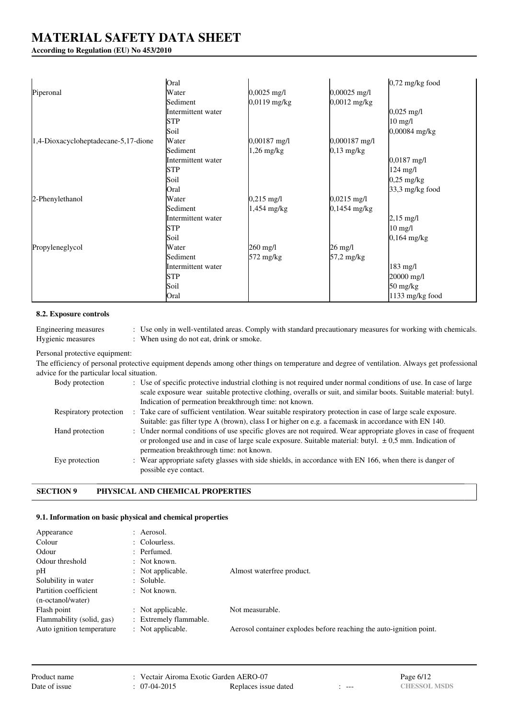### **According to Regulation (EU) No 453/2010**

|                                      | Oral               |                       |                       | $0,72$ mg/kg food                |
|--------------------------------------|--------------------|-----------------------|-----------------------|----------------------------------|
| Piperonal                            | Water              | $0,0025 \text{ mg/l}$ | $0,00025$ mg/l        |                                  |
|                                      | Sediment           | $0,0119$ mg/kg        | 0,0012 mg/kg          |                                  |
|                                      | Intermittent water |                       |                       | $0,025$ mg/l                     |
|                                      | STP                |                       |                       | $10 \text{ mg/l}$                |
|                                      | Soil               |                       |                       | 0,00084 mg/kg                    |
| 1,4-Dioxacycloheptadecane-5,17-dione | Water              | 0,00187 mg/l          | 0,000187 mg/l         |                                  |
|                                      | Sediment           | 1,26 mg/kg            | $0,13$ mg/kg          |                                  |
|                                      | Intermittent water |                       |                       | $0,0187 \text{ mg/l}$            |
|                                      | <b>STP</b>         |                       |                       | $124$ mg/l                       |
|                                      | Soil               |                       |                       | $0,25$ mg/kg                     |
|                                      | Oral               |                       |                       | $33,3$ mg/kg food                |
| 2-Phenylethanol                      | Water              | $0,215 \text{ mg/l}$  | $0,0215 \text{ mg/l}$ |                                  |
|                                      | Sediment           | 1,454 mg/kg           | 0,1454 mg/kg          |                                  |
|                                      | Intermittent water |                       |                       | $2,15 \text{ mg/l}$              |
|                                      | <b>STP</b>         |                       |                       | $10 \text{ mg/l}$                |
|                                      | Soil               |                       |                       | $0,164 \text{ mg/kg}$            |
| Propyleneglycol                      | Water              | 260 mg/l              | 26 mg/l               |                                  |
|                                      | Sediment           | 572 mg/kg             | 57,2 mg/kg            |                                  |
|                                      | Intermittent water |                       |                       | 183 mg/l                         |
|                                      | <b>STP</b>         |                       |                       | 20000 mg/l                       |
|                                      | Soil               |                       |                       | $50 \frac{\text{mg}}{\text{kg}}$ |
|                                      | Oral               |                       |                       | 1133 mg/kg food                  |

#### **8.2. Exposure controls**

Engineering measures : Use only in well-ventilated areas. Comply with standard precautionary measures for working with chemicals. Hygienic measures : When using do not eat, drink or smoke.

### Personal protective equipment:

The efficiency of personal protective equipment depends among other things on temperature and degree of ventilation. Always get professional advice for the particular local situation.

| Body protection        | : Use of specific protective industrial clothing is not required under normal conditions of use. In case of large |
|------------------------|-------------------------------------------------------------------------------------------------------------------|
|                        | scale exposure wear suitable protective clothing, overalls or suit, and similar boots. Suitable material: butyl.  |
|                        | Indication of permeation breakthrough time: not known.                                                            |
| Respiratory protection | : Take care of sufficient ventilation. Wear suitable respiratory protection in case of large scale exposure.      |
|                        | Suitable: gas filter type A (brown), class I or higher on e.g. a facemask in accordance with EN 140.              |
| Hand protection        | : Under normal conditions of use specific gloves are not required. Wear appropriate gloves in case of frequent    |
|                        | or prolonged use and in case of large scale exposure. Suitable material: butyl. $\pm 0.5$ mm. Indication of       |
|                        | permeation breakthrough time: not known.                                                                          |
| Eye protection         | : Wear appropriate safety glasses with side shields, in accordance with EN 166, when there is danger of           |
|                        | possible eye contact.                                                                                             |
|                        |                                                                                                                   |

### **SECTION 9 PHYSICAL AND CHEMICAL PROPERTIES**

#### **9.1. Information on basic physical and chemical properties**

| Appearance                | : Aerosol.               |                                                                     |
|---------------------------|--------------------------|---------------------------------------------------------------------|
| Colour                    | $\therefore$ Colourless. |                                                                     |
| Odour                     | : Perfumed.              |                                                                     |
| Odour threshold           | $\therefore$ Not known.  |                                                                     |
| pH                        | : Not applicable.        | Almost waterfree product.                                           |
| Solubility in water       | $:$ Soluble.             |                                                                     |
| Partition coefficient     | $\therefore$ Not known.  |                                                                     |
| (n-octanol/water)         |                          |                                                                     |
| Flash point               | : Not applicable.        | Not measurable.                                                     |
| Flammability (solid, gas) | : Extremely flammable.   |                                                                     |
| Auto ignition temperature | : Not applicable.        | Aerosol container explodes before reaching the auto-ignition point. |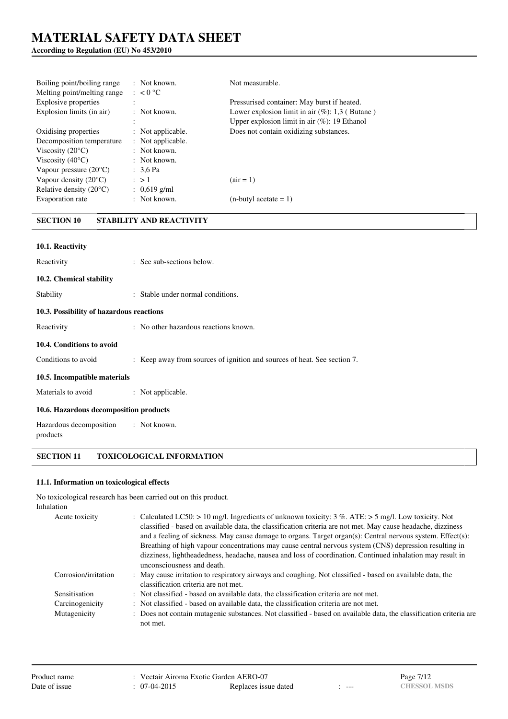### **According to Regulation (EU) No 453/2010**

| Boiling point/boiling range<br>Melting point/melting range | $\therefore$ Not known.<br>$\therefore$ < 0 °C | Not measurable.                                    |
|------------------------------------------------------------|------------------------------------------------|----------------------------------------------------|
| Explosive properties                                       |                                                | Pressurised container: May burst if heated.        |
| Explosion limits (in air)                                  | $:$ Not known.                                 | Lower explosion limit in air $(\%)$ : 1,3 (Butane) |
|                                                            | $\ddot{\cdot}$                                 | Upper explosion limit in air $(\%)$ : 19 Ethanol   |
| Oxidising properties                                       | : Not applicable.                              | Does not contain oxidizing substances.             |
| Decomposition temperature                                  | : Not applicable.                              |                                                    |
| Viscosity $(20^{\circ}C)$                                  | $:$ Not known.                                 |                                                    |
| Viscosity $(40^{\circ}C)$                                  | $\therefore$ Not known.                        |                                                    |
| Vapour pressure $(20^{\circ}C)$                            | : $3.6$ Pa                                     |                                                    |
| Vapour density $(20^{\circ}C)$                             | $\therefore$ > 1                               | $\arctan 1$                                        |
| Relative density $(20^{\circ}C)$                           | : $0,619$ g/ml                                 |                                                    |
| Evaporation rate                                           | $:$ Not known.                                 | $(n$ -butyl acetate = 1)                           |

## **SECTION 10 STABILITY AND REACTIVITY**

| 10.1. Reactivity                         |                                                                          |
|------------------------------------------|--------------------------------------------------------------------------|
| Reactivity                               | : See sub-sections below.                                                |
| 10.2. Chemical stability                 |                                                                          |
| Stability                                | : Stable under normal conditions.                                        |
| 10.3. Possibility of hazardous reactions |                                                                          |
| Reactivity                               | : No other hazardous reactions known.                                    |
| 10.4. Conditions to avoid                |                                                                          |
| Conditions to avoid                      | : Keep away from sources of ignition and sources of heat. See section 7. |
| 10.5. Incompatible materials             |                                                                          |
| Materials to avoid                       | : Not applicable.                                                        |
| 10.6. Hazardous decomposition products   |                                                                          |
| Hazardous decomposition<br>products      | : Not known.                                                             |

### **SECTION 11 TOXICOLOGICAL INFORMATION**

#### **11.1. Information on toxicological effects**

No toxicological research has been carried out on this product.

| Inhalation           |                                                                                                                                                                                                                                                                                                                                                                                                                                                                                                                                                                                             |
|----------------------|---------------------------------------------------------------------------------------------------------------------------------------------------------------------------------------------------------------------------------------------------------------------------------------------------------------------------------------------------------------------------------------------------------------------------------------------------------------------------------------------------------------------------------------------------------------------------------------------|
| Acute toxicity       | : Calculated LC50: $> 10$ mg/l. Ingredients of unknown toxicity: 3 %. ATE: $> 5$ mg/l. Low toxicity. Not<br>classified - based on available data, the classification criteria are not met. May cause headache, dizziness<br>and a feeling of sickness. May cause damage to organs. Target organ(s): Central nervous system. Effect(s):<br>Breathing of high vapour concentrations may cause central nervous system (CNS) depression resulting in<br>dizziness, lightheadedness, headache, nausea and loss of coordination. Continued inhalation may result in<br>unconsciousness and death. |
| Corrosion/irritation | : May cause irritation to respiratory airways and coughing. Not classified - based on available data, the<br>classification criteria are not met.                                                                                                                                                                                                                                                                                                                                                                                                                                           |
| Sensitisation        | : Not classified - based on available data, the classification criteria are not met.                                                                                                                                                                                                                                                                                                                                                                                                                                                                                                        |
| Carcinogenicity      | : Not classified - based on available data, the classification criteria are not met.                                                                                                                                                                                                                                                                                                                                                                                                                                                                                                        |
| Mutagenicity         | : Does not contain mutagenic substances. Not classified - based on available data, the classification criteria are<br>not met.                                                                                                                                                                                                                                                                                                                                                                                                                                                              |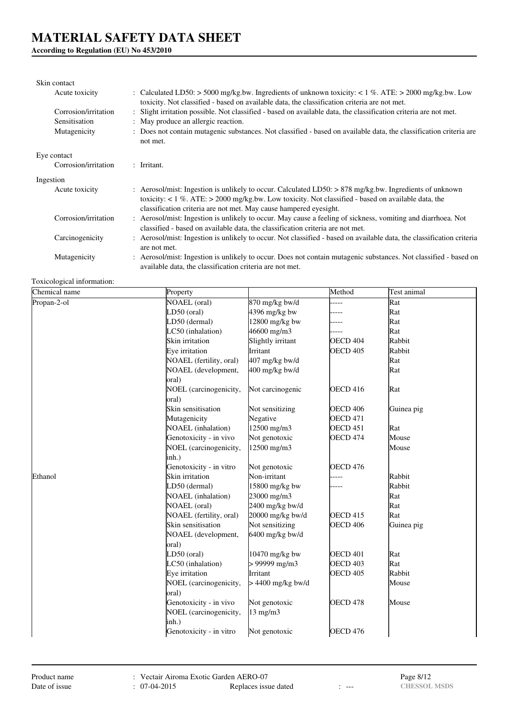## **According to Regulation (EU) No 453/2010**

### Skin contact

| ONIII UMBEU          |                                                                                                                                                                                                                                                                                           |
|----------------------|-------------------------------------------------------------------------------------------------------------------------------------------------------------------------------------------------------------------------------------------------------------------------------------------|
| Acute toxicity       | : Calculated LD50: > 5000 mg/kg.bw. Ingredients of unknown toxicity: < 1 %. ATE: > 2000 mg/kg.bw. Low<br>toxicity. Not classified - based on available data, the classification criteria are not met.                                                                                     |
| Corrosion/irritation | : Slight irritation possible. Not classified - based on available data, the classification criteria are not met.                                                                                                                                                                          |
| Sensitisation        | : May produce an allergic reaction.                                                                                                                                                                                                                                                       |
| Mutagenicity         | : Does not contain mutagenic substances. Not classified - based on available data, the classification criteria are<br>not met.                                                                                                                                                            |
| Eye contact          |                                                                                                                                                                                                                                                                                           |
| Corrosion/irritation | $:$ Irritant.                                                                                                                                                                                                                                                                             |
| Ingestion            |                                                                                                                                                                                                                                                                                           |
| Acute toxicity       | : Aerosol/mist: Ingestion is unlikely to occur. Calculated LD50: $> 878$ mg/kg.bw. Ingredients of unknown<br>toxicity: $< 1\%$ . ATE: $> 2000$ mg/kg.bw. Low toxicity. Not classified - based on available data, the<br>classification criteria are not met. May cause hampered eyesight. |
| Corrosion/irritation | : Aerosol/mist: Ingestion is unlikely to occur. May cause a feeling of sickness, vomiting and diarrhoea. Not<br>classified - based on available data, the classification criteria are not met.                                                                                            |
| Carcinogenicity      | : Aerosol/mist: Ingestion is unlikely to occur. Not classified - based on available data, the classification criteria<br>are not met.                                                                                                                                                     |
| Mutagenicity         | : Aerosol/mist: Ingestion is unlikely to occur. Does not contain mutagenic substances. Not classified - based on<br>available data, the classification criteria are not met.                                                                                                              |

Toxicological information:

| Chemical name | Property                  |                     | Method              | Test animal |
|---------------|---------------------------|---------------------|---------------------|-------------|
| Propan-2-ol   | <b>NOAEL</b> (oral)       | 870 mg/kg bw/d      |                     | Rat         |
|               | LD50 (oral)               | 4396 mg/kg bw       |                     | Rat         |
|               | LD50 (dermal)             | 12800 mg/kg bw      |                     | Rat         |
|               | LC50 (inhalation)         | 46600 mg/m3         |                     | Rat         |
|               | Skin irritation           | Slightly irritant   | OECD <sub>404</sub> | Rabbit      |
|               | Eye irritation            | Irritant            | <b>OECD 405</b>     | Rabbit      |
|               | NOAEL (fertility, oral)   | 407 mg/kg bw/d      |                     | Rat         |
|               | NOAEL (development,       | 400 mg/kg bw/d      |                     | Rat         |
|               | oral)                     |                     |                     |             |
|               | NOEL (carcinogenicity,    | Not carcinogenic    | <b>OECD 416</b>     | Rat         |
|               | oral)                     |                     |                     |             |
|               | Skin sensitisation        | Not sensitizing     | <b>OECD 406</b>     | Guinea pig  |
|               | Mutagenicity              | Negative            | <b>OECD 471</b>     |             |
|               | <b>NOAEL</b> (inhalation) | 12500 mg/m3         | <b>OECD 451</b>     | Rat         |
|               | Genotoxicity - in vivo    | Not genotoxic       | <b>OECD 474</b>     | Mouse       |
|               | NOEL (carcinogenicity,    | 12500 mg/m3         |                     | Mouse       |
|               | inh.)                     |                     |                     |             |
|               | Genotoxicity - in vitro   | Not genotoxic       | <b>OECD 476</b>     |             |
| Ethanol       | Skin irritation           | Non-irritant        |                     | Rabbit      |
|               | LD50 (dermal)             | 15800 mg/kg bw      |                     | Rabbit      |
|               | NOAEL (inhalation)        | 23000 mg/m3         |                     | Rat         |
|               | <b>NOAEL</b> (oral)       | 2400 mg/kg bw/d     |                     | Rat         |
|               | NOAEL (fertility, oral)   | 20000 mg/kg bw/d    | <b>OECD 415</b>     | Rat         |
|               | Skin sensitisation        | Not sensitizing     | <b>OECD 406</b>     | Guinea pig  |
|               | NOAEL (development,       | $6400$ mg/kg bw/d   |                     |             |
|               | oral)                     |                     |                     |             |
|               | LD50 (oral)               | 10470 mg/kg bw      | OECD <sub>401</sub> | Rat         |
|               | LC50 (inhalation)         | > 99999 mg/m3       | <b>OECD 403</b>     | Rat         |
|               | Eve irritation            | Irritant            | OECD <sub>405</sub> | Rabbit      |
|               | NOEL (carcinogenicity,    | $> 4400$ mg/kg bw/d |                     | Mouse       |
|               | oral)                     |                     |                     |             |
|               | Genotoxicity - in vivo    | Not genotoxic       | OECD 478            | Mouse       |
|               | NOEL (carcinogenicity,    | $13$ mg/m $3$       |                     |             |
|               | inh.)                     |                     |                     |             |
|               | Genotoxicity - in vitro   | Not genotoxic       | OECD <sub>476</sub> |             |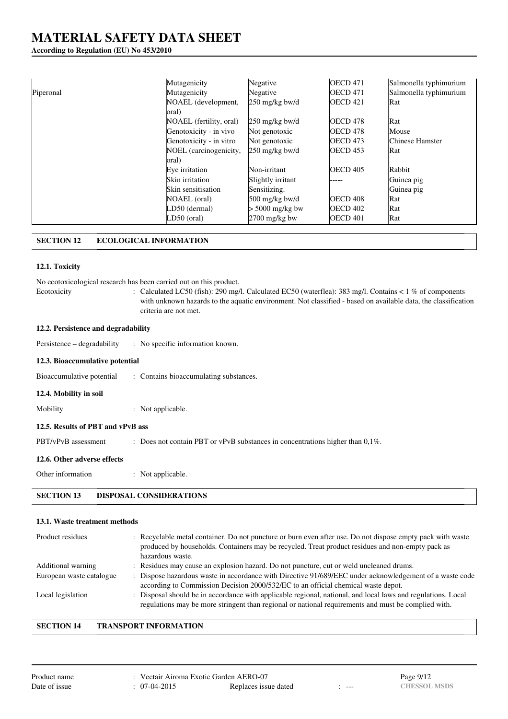### **According to Regulation (EU) No 453/2010**

|           | Mutagenicity            | Negative          | <b>OECD 471</b>     | Salmonella typhimurium |
|-----------|-------------------------|-------------------|---------------------|------------------------|
| Piperonal | Mutagenicity            | Negative          | <b>OECD 471</b>     | Salmonella typhimurium |
|           | NOAEL (development,     | 250 mg/kg bw/d    | OECD <sub>421</sub> | Rat                    |
|           | oral)                   |                   |                     |                        |
|           | NOAEL (fertility, oral) | $250$ mg/kg bw/d  | OECD 478            | Rat                    |
|           | Genotoxicity - in vivo  | Not genotoxic     | OECD 478            | Mouse                  |
|           | Genotoxicity - in vitro | Not genotoxic     | <b>OECD 473</b>     | Chinese Hamster        |
|           | NOEL (carcinogenicity,  | $250$ mg/kg bw/d  | OECD <sub>453</sub> | Rat                    |
|           | oral)                   |                   |                     |                        |
|           | Eve irritation          | Non-irritant      | <b>OECD 405</b>     | Rabbit                 |
|           | Skin irritation         | Slightly irritant | -----               | Guinea pig             |
|           | Skin sensitisation      | Sensitizing.      |                     | Guinea pig             |
|           | NOAEL (oral)            | 500 mg/kg bw/d    | OECD <sub>408</sub> | Rat                    |
|           | LD50 (dermal)           | $> 5000$ mg/kg bw | <b>OECD 402</b>     | Rat                    |
|           | LD50 (oral)             | $2700$ mg/kg bw   | OECD 401            | Rat                    |

## **SECTION 12 ECOLOGICAL INFORMATION**

### **12.1. Toxicity**

|                                     | No ecotoxicological research has been carried out on this product.                                                                                                                                                                                  |
|-------------------------------------|-----------------------------------------------------------------------------------------------------------------------------------------------------------------------------------------------------------------------------------------------------|
| Ecotoxicity                         | : Calculated LC50 (fish): 290 mg/l. Calculated EC50 (waterflea): 383 mg/l. Contains < $1\%$ of components<br>with unknown hazards to the aquatic environment. Not classified - based on available data, the classification<br>criteria are not met. |
| 12.2. Persistence and degradability |                                                                                                                                                                                                                                                     |
| Persistence – degradability         | : No specific information known.                                                                                                                                                                                                                    |
| 12.3. Bioaccumulative potential     |                                                                                                                                                                                                                                                     |
| Bioaccumulative potential           | : Contains bioaccumulating substances.                                                                                                                                                                                                              |
| 12.4. Mobility in soil              |                                                                                                                                                                                                                                                     |
| Mobility                            | : Not applicable.                                                                                                                                                                                                                                   |
| 12.5. Results of PBT and vPvB ass   |                                                                                                                                                                                                                                                     |
| PBT/vPvB assessment                 | : Does not contain PBT or vPvB substances in concentrations higher than $0.1\%$ .                                                                                                                                                                   |
| 12.6. Other adverse effects         |                                                                                                                                                                                                                                                     |
| Other information                   | : Not applicable.                                                                                                                                                                                                                                   |
|                                     |                                                                                                                                                                                                                                                     |

# **SECTION 13 DISPOSAL CONSIDERATIONS**

#### **13.1. Waste treatment methods**

| Product residues         | : Recyclable metal container. Do not puncture or burn even after use. Do not dispose empty pack with waste<br>produced by households. Containers may be recycled. Treat product residues and non-empty pack as<br>hazardous waste. |
|--------------------------|------------------------------------------------------------------------------------------------------------------------------------------------------------------------------------------------------------------------------------|
| Additional warning       | : Residues may cause an explosion hazard. Do not puncture, cut or weld uncleaned drums.                                                                                                                                            |
| European waste catalogue | : Dispose hazardous waste in accordance with Directive 91/689/EEC under acknowledgement of a waste code<br>according to Commission Decision 2000/532/EC to an official chemical waste depot.                                       |
| Local legislation        | : Disposal should be in accordance with applicable regional, national, and local laws and regulations. Local<br>regulations may be more stringent than regional or national requirements and must be complied with.                |

#### **SECTION 14 TRANSPORT INFORMATION**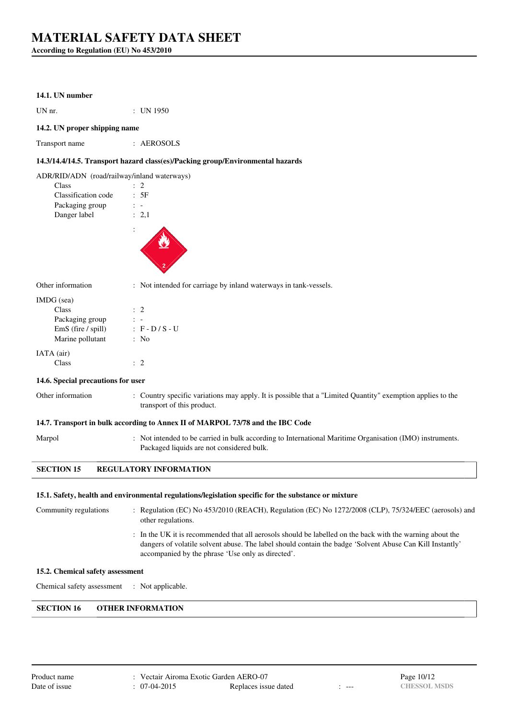**According to Regulation (EU) No 453/2010**

#### **14.1. UN number**

UN nr. : UN 1950

#### **14.2. UN proper shipping name**

| Transport name | AEROSOLS |
|----------------|----------|
|                |          |

#### **14.3/14.4/14.5. Transport hazard class(es)/Packing group/Environmental hazards**

ADR/RID/ADN (road/railway/inland waterways)

| Class               | $\cdot$ 2 |  |
|---------------------|-----------|--|
| Classification code | : 5F      |  |
| Packaging group     |           |  |
| Danger label        | : 2.1     |  |
|                     |           |  |
|                     |           |  |



Other information : Not intended for carriage by inland waterways in tank-vessels.

| IMDG (sea)           |                      |
|----------------------|----------------------|
| Class                | $\therefore$ 2       |
| Packaging group      |                      |
| $EmS$ (fire / spill) | $\div$ F - D / S - U |
| Marine pollutant     | $:$ No               |
| IATA (air)           |                      |
| Class                |                      |

#### **14.6. Special precautions for user**

Other information : Country specific variations may apply. It is possible that a "Limited Quantity" exemption applies to the transport of this product.

#### **14.7. Transport in bulk according to Annex II of MARPOL 73/78 and the IBC Code**

Marpol : Not intended to be carried in bulk according to International Maritime Organisation (IMO) instruments. Packaged liquids are not considered bulk.

#### **SECTION 15 REGULATORY INFORMATION**

#### **15.1. Safety, health and environmental regulations/legislation specific for the substance or mixture**

| Community regulations            | : Regulation (EC) No 453/2010 (REACH), Regulation (EC) No 1272/2008 (CLP), 75/324/EEC (aerosols) and<br>other regulations.                                                                                                                                                 |
|----------------------------------|----------------------------------------------------------------------------------------------------------------------------------------------------------------------------------------------------------------------------------------------------------------------------|
|                                  | : In the UK it is recommended that all aerosols should be labelled on the back with the warning about the<br>dangers of volatile solvent abuse. The label should contain the badge 'Solvent Abuse Can Kill Instantly'<br>accompanied by the phrase 'Use only as directed'. |
| 15.2. Chemical safety assessment |                                                                                                                                                                                                                                                                            |

Chemical safety assessment : Not applicable.

#### **SECTION 16 OTHER INFORMATION**

| Product name  |
|---------------|
| Date of issue |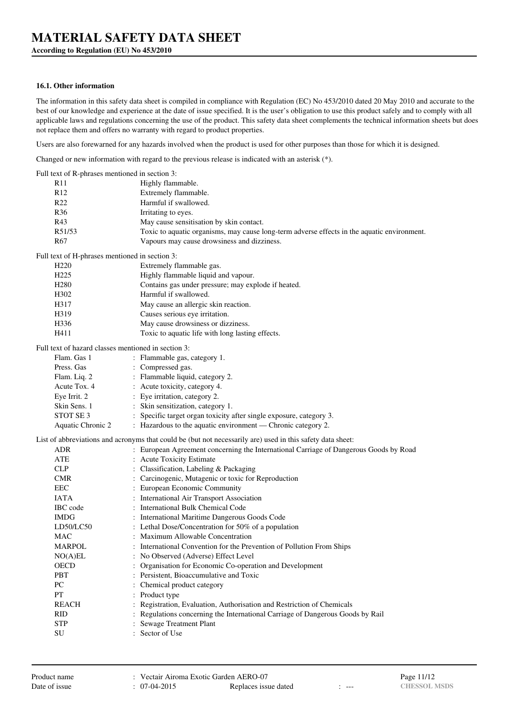#### **16.1. Other information**

The information in this safety data sheet is compiled in compliance with Regulation (EC) No 453/2010 dated 20 May 2010 and accurate to the best of our knowledge and experience at the date of issue specified. It is the user's obligation to use this product safely and to comply with all applicable laws and regulations concerning the use of the product. This safety data sheet complements the technical information sheets but does not replace them and offers no warranty with regard to product properties.

Users are also forewarned for any hazards involved when the product is used for other purposes than those for which it is designed.

Changed or new information with regard to the previous release is indicated with an asterisk (\*).

Full text of R-phrases mentioned in section 3:

| R11                                                 | Highly flammable.                                                                                          |
|-----------------------------------------------------|------------------------------------------------------------------------------------------------------------|
| R <sub>12</sub>                                     | Extremely flammable.                                                                                       |
| R <sub>22</sub>                                     | Harmful if swallowed.                                                                                      |
| R <sub>36</sub>                                     | Irritating to eyes.                                                                                        |
| R43                                                 | May cause sensitisation by skin contact.                                                                   |
| R51/53                                              | Toxic to aquatic organisms, may cause long-term adverse effects in the aquatic environment.                |
| R <sub>67</sub>                                     | Vapours may cause drowsiness and dizziness.                                                                |
| Full text of H-phrases mentioned in section 3:      |                                                                                                            |
| H <sub>220</sub>                                    | Extremely flammable gas.                                                                                   |
| H <sub>225</sub>                                    | Highly flammable liquid and vapour.                                                                        |
| H <sub>280</sub>                                    | Contains gas under pressure; may explode if heated.                                                        |
| H <sub>3</sub> 02                                   | Harmful if swallowed.                                                                                      |
| H317                                                | May cause an allergic skin reaction.                                                                       |
| H319                                                | Causes serious eye irritation.                                                                             |
| H336                                                | May cause drowsiness or dizziness.                                                                         |
| H411                                                | Toxic to aquatic life with long lasting effects.                                                           |
| Full text of hazard classes mentioned in section 3: |                                                                                                            |
| Flam. Gas 1                                         | : Flammable gas, category 1.                                                                               |
| Press. Gas                                          | : Compressed gas.                                                                                          |
| Flam. Liq. 2                                        | : Flammable liquid, category 2.                                                                            |
| Acute Tox. 4                                        | : Acute toxicity, category 4.                                                                              |
| Eye Irrit. 2                                        | : Eye irritation, category 2.                                                                              |
| Skin Sens. 1                                        | : Skin sensitization, category 1.                                                                          |
| STOT SE <sub>3</sub>                                | : Specific target organ toxicity after single exposure, category 3.                                        |
| Aquatic Chronic 2                                   | : Hazardous to the aquatic environment — Chronic category 2.                                               |
|                                                     | List of abbreviations and acronyms that could be (but not necessarily are) used in this safety data sheet: |
| ADR                                                 | : European Agreement concerning the International Carriage of Dangerous Goods by Road                      |
| ATE                                                 | : Acute Toxicity Estimate                                                                                  |
| <b>CLP</b>                                          | : Classification, Labeling & Packaging                                                                     |
| <b>CMR</b>                                          | : Carcinogenic, Mutagenic or toxic for Reproduction                                                        |
| EEC                                                 | : European Economic Community                                                                              |
| <b>IATA</b>                                         | : International Air Transport Association                                                                  |
| IBC code                                            | : International Bulk Chemical Code                                                                         |
| <b>IMDG</b>                                         | : International Maritime Dangerous Goods Code                                                              |
| LD50/LC50                                           | : Lethal Dose/Concentration for 50% of a population                                                        |
| MAC                                                 | : Maximum Allowable Concentration                                                                          |
| <b>MARPOL</b>                                       | : International Convention for the Prevention of Pollution From Ships                                      |
| NO(A)EL                                             | : No Observed (Adverse) Effect Level                                                                       |
| OECD                                                | Organisation for Economic Co-operation and Development                                                     |
| PBT                                                 | Persistent, Bioaccumulative and Toxic                                                                      |
| PC                                                  | Chemical product category                                                                                  |
| PT                                                  | Product type                                                                                               |
| <b>REACH</b>                                        | Registration, Evaluation, Authorisation and Restriction of Chemicals                                       |
| <b>RID</b>                                          | Regulations concerning the International Carriage of Dangerous Goods by Rail                               |
| <b>STP</b>                                          | : Sewage Treatment Plant                                                                                   |
|                                                     |                                                                                                            |

SU : Sector of Use